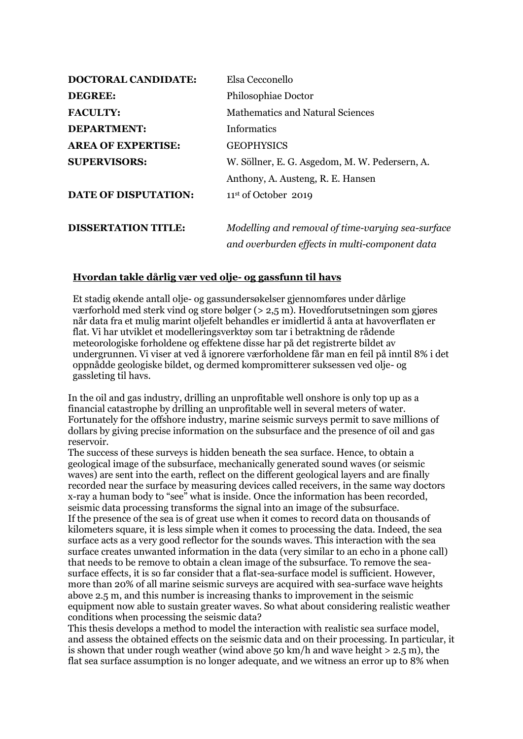| <b>DOCTORAL CANDIDATE:</b>  | Elsa Cecconello                                   |
|-----------------------------|---------------------------------------------------|
| <b>DEGREE:</b>              | Philosophiae Doctor                               |
| <b>FACULTY:</b>             | Mathematics and Natural Sciences                  |
| DEPARTMENT:                 | <b>Informatics</b>                                |
| <b>AREA OF EXPERTISE:</b>   | <b>GEOPHYSICS</b>                                 |
| <b>SUPERVISORS:</b>         | W. Söllner, E. G. Asgedom, M. W. Pedersern, A.    |
|                             | Anthony, A. Austeng, R. E. Hansen                 |
| <b>DATE OF DISPUTATION:</b> | $11st$ of October 2019                            |
| <b>DISSERTATION TITLE:</b>  | Modelling and removal of time-varying sea-surface |
|                             | and overburden effects in multi-component data    |

## **Hvordan takle dårlig vær ved olje- og gassfunn til havs**

Et stadig økende antall olje- og gassundersøkelser gjennomføres under dårlige værforhold med sterk vind og store bølger (> 2,5 m). Hovedforutsetningen som gjøres når data fra et mulig marint oljefelt behandles er imidlertid å anta at havoverflaten er flat. Vi har utviklet et modelleringsverktøy som tar i betraktning de rådende meteorologiske forholdene og effektene disse har på det registrerte bildet av undergrunnen. Vi viser at ved å ignorere værforholdene får man en feil på inntil 8% i det oppnådde geologiske bildet, og dermed kompromitterer suksessen ved olje- og gassleting til havs.

In the oil and gas industry, drilling an unprofitable well onshore is only top up as a financial catastrophe by drilling an unprofitable well in several meters of water. Fortunately for the offshore industry, marine seismic surveys permit to save millions of dollars by giving precise information on the subsurface and the presence of oil and gas reservoir.

The success of these surveys is hidden beneath the sea surface. Hence, to obtain a geological image of the subsurface, mechanically generated sound waves (or seismic waves) are sent into the earth, reflect on the different geological layers and are finally recorded near the surface by measuring devices called receivers, in the same way doctors x-ray a human body to "see" what is inside. Once the information has been recorded, seismic data processing transforms the signal into an image of the subsurface. If the presence of the sea is of great use when it comes to record data on thousands of kilometers square, it is less simple when it comes to processing the data. Indeed, the sea surface acts as a very good reflector for the sounds waves. This interaction with the sea surface creates unwanted information in the data (very similar to an echo in a phone call) that needs to be remove to obtain a clean image of the subsurface. To remove the seasurface effects, it is so far consider that a flat-sea-surface model is sufficient. However, more than 20% of all marine seismic surveys are acquired with sea-surface wave heights above 2.5 m, and this number is increasing thanks to improvement in the seismic equipment now able to sustain greater waves. So what about considering realistic weather conditions when processing the seismic data?

This thesis develops a method to model the interaction with realistic sea surface model, and assess the obtained effects on the seismic data and on their processing. In particular, it is shown that under rough weather (wind above 50 km/h and wave height  $> 2.5$  m), the flat sea surface assumption is no longer adequate, and we witness an error up to 8% when